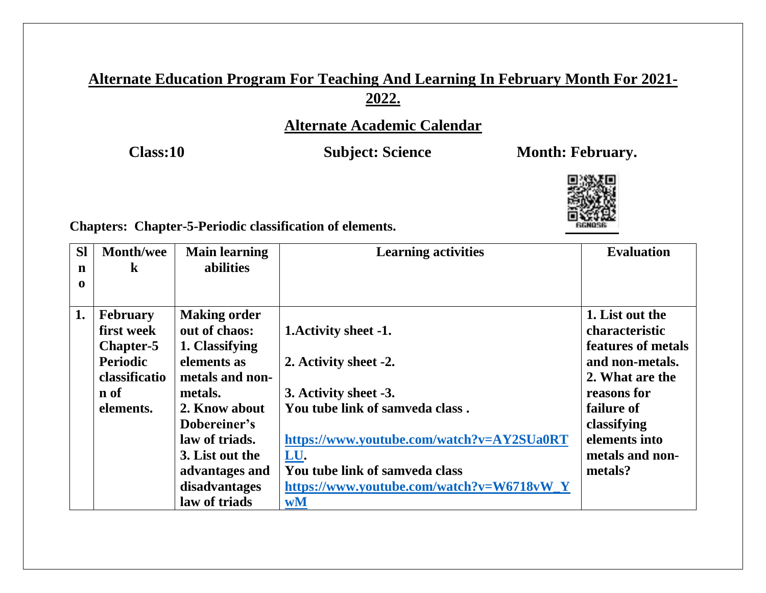# **Alternate Education Program For Teaching And Learning In February Month For 2021- 2022.**

# **Alternate Academic Calendar**

Class:10 **Subject: Science** Month: February.



**Chapters: Chapter-5-Periodic classification of elements.** 

| <b>SI</b><br>$\mathbf n$<br>$\mathbf 0$ | <b>Month/wee</b><br>$\bf k$                                                                         | <b>Main learning</b><br>abilities                                                                                                                                                                                             | <b>Learning activities</b>                                                                                                                                                                                                                          | <b>Evaluation</b>                                                                                                                                                                               |
|-----------------------------------------|-----------------------------------------------------------------------------------------------------|-------------------------------------------------------------------------------------------------------------------------------------------------------------------------------------------------------------------------------|-----------------------------------------------------------------------------------------------------------------------------------------------------------------------------------------------------------------------------------------------------|-------------------------------------------------------------------------------------------------------------------------------------------------------------------------------------------------|
| 1.                                      | <b>February</b><br>first week<br>Chapter-5<br><b>Periodic</b><br>classificatio<br>n of<br>elements. | <b>Making order</b><br>out of chaos:<br>1. Classifying<br>elements as<br>metals and non-<br>metals.<br>2. Know about<br>Dobereiner's<br>law of triads.<br>3. List out the<br>advantages and<br>disadvantages<br>law of triads | 1. Activity sheet -1.<br>2. Activity sheet -2.<br>3. Activity sheet -3.<br>You tube link of samveda class.<br>https://www.youtube.com/watch?v=AY2SUa0RT<br>LU.<br>You tube link of samveda class<br>https://www.youtube.com/watch?v=W6718vW_Y<br>wM | 1. List out the<br><b>characteristic</b><br>features of metals<br>and non-metals.<br>2. What are the<br>reasons for<br>failure of<br>classifying<br>elements into<br>metals and non-<br>metals? |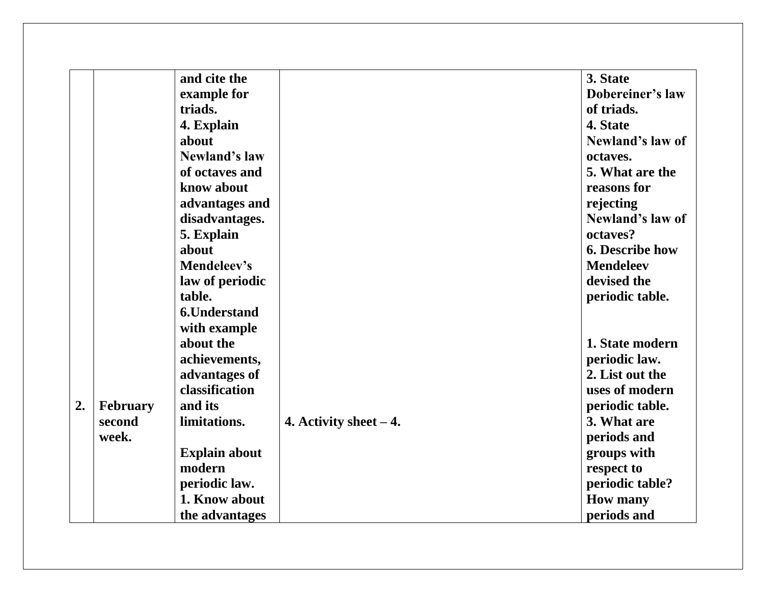|    |          | and cite the         |                          | 3. State               |
|----|----------|----------------------|--------------------------|------------------------|
|    |          | example for          |                          | Dobereiner's law       |
|    |          | triads.              |                          | of triads.             |
|    |          | 4. Explain           |                          | 4. State               |
|    |          | about                |                          | Newland's law of       |
|    |          | Newland's law        |                          | octaves.               |
|    |          | of octaves and       |                          | 5. What are the        |
|    |          | know about           |                          | reasons for            |
|    |          | advantages and       |                          | rejecting              |
|    |          | disadvantages.       |                          | Newland's law of       |
|    |          | 5. Explain           |                          | octaves?               |
|    |          | about                |                          | <b>6. Describe how</b> |
|    |          | Mendeleev's          |                          | <b>Mendeleev</b>       |
|    |          | law of periodic      |                          | devised the            |
|    |          | table.               |                          | periodic table.        |
|    |          | <b>6.Understand</b>  |                          |                        |
|    |          | with example         |                          |                        |
|    |          | about the            |                          | 1. State modern        |
|    |          | achievements,        |                          | periodic law.          |
|    |          | advantages of        |                          | 2. List out the        |
|    |          | classification       |                          | uses of modern         |
| 2. | February | and its              |                          | periodic table.        |
|    | second   | limitations.         | 4. Activity sheet $-4$ . | 3. What are            |
|    | week.    |                      |                          | periods and            |
|    |          | <b>Explain about</b> |                          | groups with            |
|    |          | modern               |                          | respect to             |
|    |          | periodic law.        |                          | periodic table?        |
|    |          | 1. Know about        |                          | <b>How many</b>        |
|    |          | the advantages       |                          | periods and            |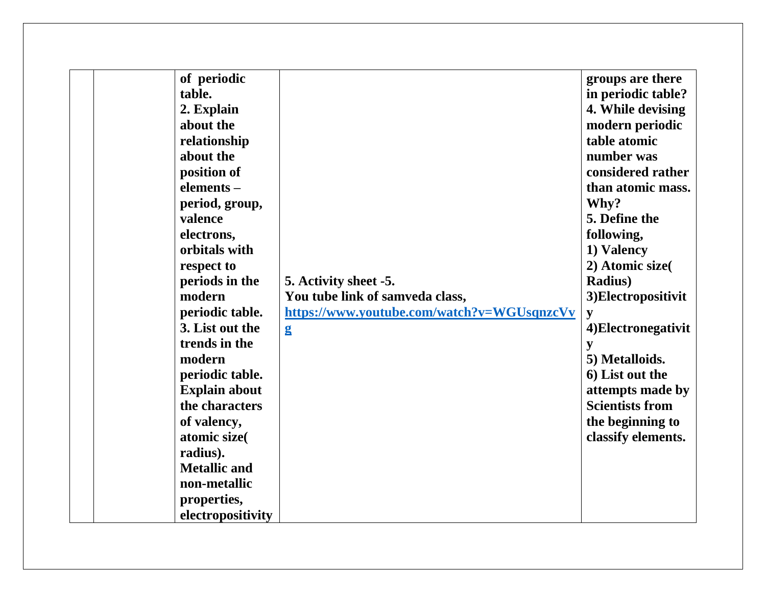| of periodic<br>table.<br>2. Explain<br>about the<br>relationship<br>about the<br>position of<br>elements-<br>period, group,<br>valence<br>electrons,<br>orbitals with<br>respect to<br>periods in the<br>modern | 5. Activity sheet -5.<br>You tube link of samveda class,   | groups are there<br>in periodic table?<br>4. While devising<br>modern periodic<br>table atomic<br>number was<br>considered rather<br>than atomic mass.<br>Why?<br>5. Define the<br>following,<br>1) Valency<br>2) Atomic size<br><b>Radius</b> )<br>3)Electropositivit |
|-----------------------------------------------------------------------------------------------------------------------------------------------------------------------------------------------------------------|------------------------------------------------------------|------------------------------------------------------------------------------------------------------------------------------------------------------------------------------------------------------------------------------------------------------------------------|
| periodic table.<br>3. List out the<br>trends in the<br>modern                                                                                                                                                   | https://www.youtube.com/watch?v=WGUsqnzcVv<br>$\mathbf{g}$ | y<br>4) Electronegativit<br>y<br>5) Metalloids.                                                                                                                                                                                                                        |
| periodic table.<br><b>Explain about</b><br>the characters                                                                                                                                                       |                                                            | 6) List out the<br>attempts made by<br><b>Scientists from</b>                                                                                                                                                                                                          |
| of valency,<br>atomic size(<br>radius).                                                                                                                                                                         |                                                            | the beginning to<br>classify elements.                                                                                                                                                                                                                                 |
| <b>Metallic and</b><br>non-metallic<br>properties,<br>electropositivity                                                                                                                                         |                                                            |                                                                                                                                                                                                                                                                        |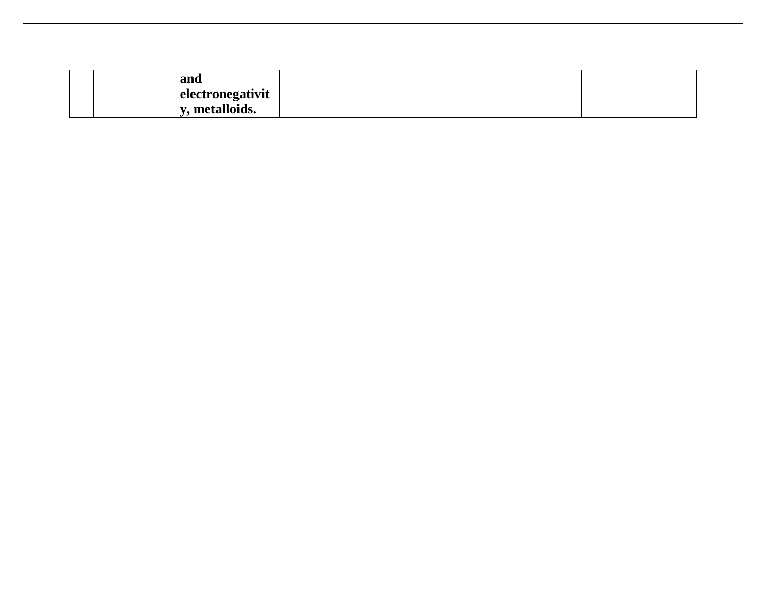| and              |  |  |
|------------------|--|--|
| electronegativit |  |  |
| y, metalloids.   |  |  |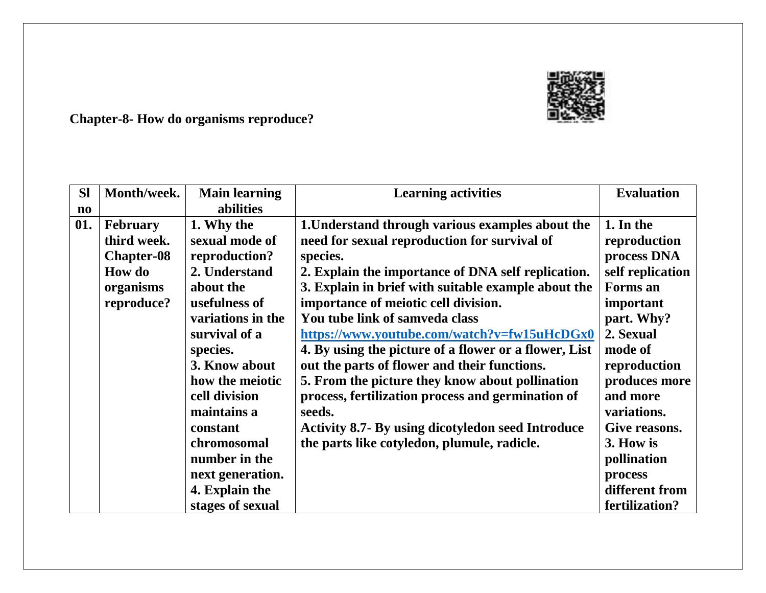

**Chapter-8- How do organisms reproduce?** 

| <b>SI</b>    | Month/week.       | <b>Main learning</b> | <b>Learning activities</b>                               | <b>Evaluation</b> |
|--------------|-------------------|----------------------|----------------------------------------------------------|-------------------|
| $\mathbf{n}$ |                   | abilities            |                                                          |                   |
| 01.          | <b>February</b>   | 1. Why the           | 1. Understand through various examples about the         | 1. In the         |
|              | third week.       | sexual mode of       | need for sexual reproduction for survival of             | reproduction      |
|              | <b>Chapter-08</b> | reproduction?        | species.                                                 | process DNA       |
|              | <b>How do</b>     | 2. Understand        | 2. Explain the importance of DNA self replication.       | self replication  |
|              | organisms         | about the            | 3. Explain in brief with suitable example about the      | Forms an          |
|              | reproduce?        | usefulness of        | importance of meiotic cell division.                     | important         |
|              |                   | variations in the    | You tube link of samveda class                           | part. Why?        |
|              |                   | survival of a        | https://www.youtube.com/watch?v=fw15uHcDGx0              | 2. Sexual         |
|              |                   | species.             | 4. By using the picture of a flower or a flower, List    | mode of           |
|              |                   | 3. Know about        | out the parts of flower and their functions.             | reproduction      |
|              |                   | how the meiotic      | 5. From the picture they know about pollination          | produces more     |
|              |                   | cell division        | process, fertilization process and germination of        | and more          |
|              |                   | maintains a          | seeds.                                                   | variations.       |
|              |                   | constant             | <b>Activity 8.7- By using dicotyledon seed Introduce</b> | Give reasons.     |
|              |                   | chromosomal          | the parts like cotyledon, plumule, radicle.              | 3. How is         |
|              |                   | number in the        |                                                          | pollination       |
|              |                   | next generation.     |                                                          | process           |
|              |                   | 4. Explain the       |                                                          | different from    |
|              |                   | stages of sexual     |                                                          | fertilization?    |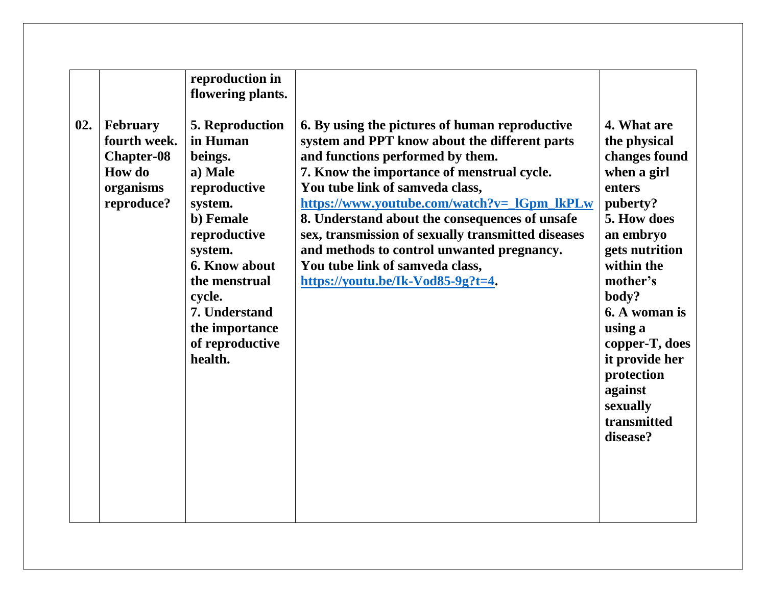|     |                                                                                                  | reproduction in<br>flowering plants.                                                                                                                                                                                                            |                                                                                                                                                                                                                                                                                                                                                                                                                                                                                                   |                                                                                                                                                                                                                                                                                                    |
|-----|--------------------------------------------------------------------------------------------------|-------------------------------------------------------------------------------------------------------------------------------------------------------------------------------------------------------------------------------------------------|---------------------------------------------------------------------------------------------------------------------------------------------------------------------------------------------------------------------------------------------------------------------------------------------------------------------------------------------------------------------------------------------------------------------------------------------------------------------------------------------------|----------------------------------------------------------------------------------------------------------------------------------------------------------------------------------------------------------------------------------------------------------------------------------------------------|
| 02. | <b>February</b><br>fourth week.<br><b>Chapter-08</b><br><b>How</b> do<br>organisms<br>reproduce? | <b>5. Reproduction</b><br>in Human<br>beings.<br>a) Male<br>reproductive<br>system.<br>b) Female<br>reproductive<br>system.<br><b>6. Know about</b><br>the menstrual<br>cycle.<br>7. Understand<br>the importance<br>of reproductive<br>health. | 6. By using the pictures of human reproductive<br>system and PPT know about the different parts<br>and functions performed by them.<br>7. Know the importance of menstrual cycle.<br>You tube link of samveda class,<br>https://www.youtube.com/watch?v=_IGpm_lkPLw<br>8. Understand about the consequences of unsafe<br>sex, transmission of sexually transmitted diseases<br>and methods to control unwanted pregnancy.<br>You tube link of samveda class,<br>https://youtu.be/Ik-Vod85-9g?t=4. | 4. What are<br>the physical<br>changes found<br>when a girl<br>enters<br>puberty?<br>5. How does<br>an embryo<br>gets nutrition<br>within the<br>mother's<br>body?<br>6. A woman is<br>using a<br>copper-T, does<br>it provide her<br>protection<br>against<br>sexually<br>transmitted<br>disease? |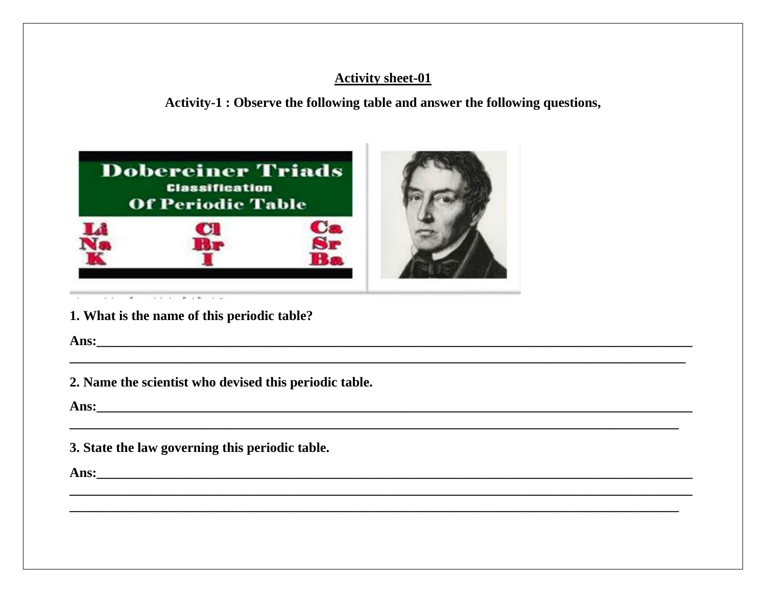Activity-1 : Observe the following table and answer the following questions,



1. What is the name of this periodic table?

2. Name the scientist who devised this periodic table.

3. State the law governing this periodic table.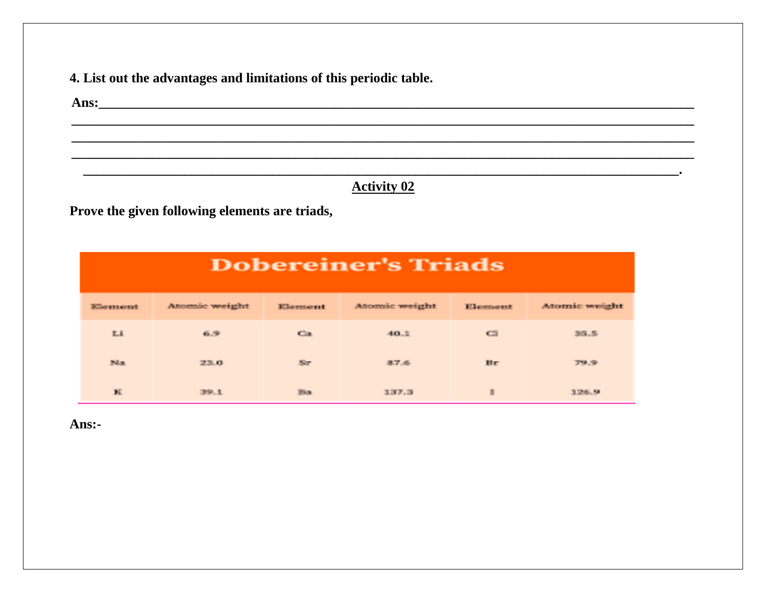4. List out the advantages and limitations of this periodic table.

**Activity 02** 

<u> 1989 - Johann Harry Harry Harry Harry Harry Harry Harry Harry Harry Harry Harry Harry Harry Harry Harry Harry</u>

Prove the given following elements are triads,

|         | <b>Dobereiner's Triads</b> |              |               |                |               |  |  |  |  |
|---------|----------------------------|--------------|---------------|----------------|---------------|--|--|--|--|
| Element | Atomic weight              | Element      | Atomic weight | Element        | Atomic weight |  |  |  |  |
| Li      | 6.9                        | Ca           | 40.1          | C21            | 35.5          |  |  |  |  |
| Na      | 23.0                       | $S_{T}$      | 37.6          | Br             | 79.9          |  |  |  |  |
| к       | 39.1                       | <b>First</b> | 337.3         | $\blacksquare$ | 126.9         |  |  |  |  |

Ans:-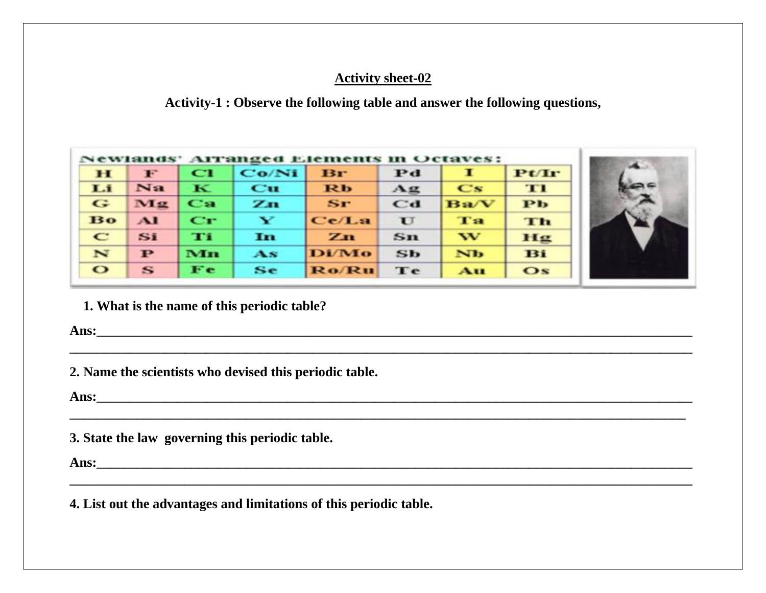**Activity-1 : Observe the following table and answer the following questions,**

**\_\_\_\_\_\_\_\_\_\_\_\_\_\_\_\_\_\_\_\_\_\_\_\_\_\_\_\_\_\_\_\_\_\_\_\_\_\_\_\_\_\_\_\_\_\_\_\_\_\_\_\_\_\_\_\_\_\_\_\_\_\_\_\_\_\_\_\_\_\_\_\_\_\_\_\_\_\_\_\_\_\_\_\_\_\_\_\_\_\_\_\_**

**\_\_\_\_\_\_\_\_\_\_\_\_\_\_\_\_\_\_\_\_\_\_\_\_\_\_\_\_\_\_\_\_\_\_\_\_\_\_\_\_\_\_\_\_\_\_\_\_\_\_\_\_\_\_\_\_\_\_\_\_\_\_\_\_\_\_\_\_\_\_\_\_\_\_\_\_\_\_\_\_\_\_\_\_\_\_\_\_\_\_\_**

| $\bf H$     | F            | C1                     | Co/Ni                  | Br           | Pd           |                  | Pt/Ir                   |
|-------------|--------------|------------------------|------------------------|--------------|--------------|------------------|-------------------------|
| Li          | Na           | $\bf K$                | $_{\rm cu}$            | <b>Rb</b>    | Αg           | $\bf Cs$         | TI                      |
| G           | Mz           | $\mathbf{C}\mathbf{n}$ | Zn                     | $S_{T}$      | $_{\bf cd}$  | $_{\rm\bf Ba/V}$ | $\mathbf{P} \mathbf{b}$ |
| Bo          | $\mathbf{A}$ | $\mathbf{C}\mathbf{r}$ | ¥                      | Ce/La        | $\mathbf{U}$ | Ta               | Th                      |
| $\mathbf C$ | Si           | TП                     | In                     | Zn           | $sn$         | w                | Hg                      |
| N           | $\mathbf{P}$ | Mn                     | $\mathbf{A}\mathbf{s}$ | <b>Di/Mo</b> | Sb           | <b>Nb</b>        | Bi                      |
| $\bullet$   | $\mathbf{s}$ | Fe                     | Se                     | <b>Ro/Ru</b> | Te           | Au               | $\bf{Os}$               |



 **1. What is the name of this periodic table?**

**Ans:\_\_\_\_\_\_\_\_\_\_\_\_\_\_\_\_\_\_\_\_\_\_\_\_\_\_\_\_\_\_\_\_\_\_\_\_\_\_\_\_\_\_\_\_\_\_\_\_\_\_\_\_\_\_\_\_\_\_\_\_\_\_\_\_\_\_\_\_\_\_\_\_\_\_\_\_\_\_\_\_\_\_\_\_\_\_\_\_**

**2. Name the scientists who devised this periodic table.**

**Ans:\_\_\_\_\_\_\_\_\_\_\_\_\_\_\_\_\_\_\_\_\_\_\_\_\_\_\_\_\_\_\_\_\_\_\_\_\_\_\_\_\_\_\_\_\_\_\_\_\_\_\_\_\_\_\_\_\_\_\_\_\_\_\_\_\_\_\_\_\_\_\_\_\_\_\_\_\_\_\_\_\_\_\_\_\_\_\_\_**

**3. State the law governing this periodic table.**

**Ans:\_\_\_\_\_\_\_\_\_\_\_\_\_\_\_\_\_\_\_\_\_\_\_\_\_\_\_\_\_\_\_\_\_\_\_\_\_\_\_\_\_\_\_\_\_\_\_\_\_\_\_\_\_\_\_\_\_\_\_\_\_\_\_\_\_\_\_\_\_\_\_\_\_\_\_\_\_\_\_\_\_\_\_\_\_\_\_\_**

**4. List out the advantages and limitations of this periodic table.**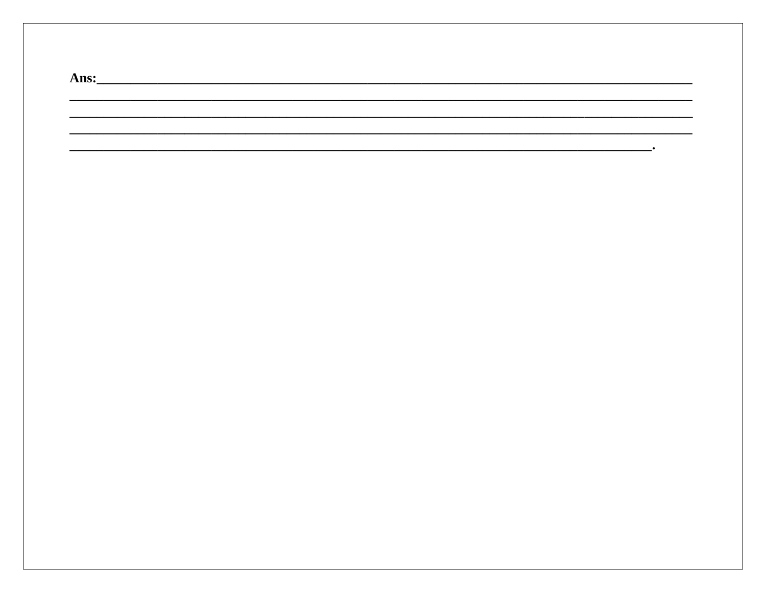| Ans: |  |  |  |
|------|--|--|--|
|      |  |  |  |
|      |  |  |  |
|      |  |  |  |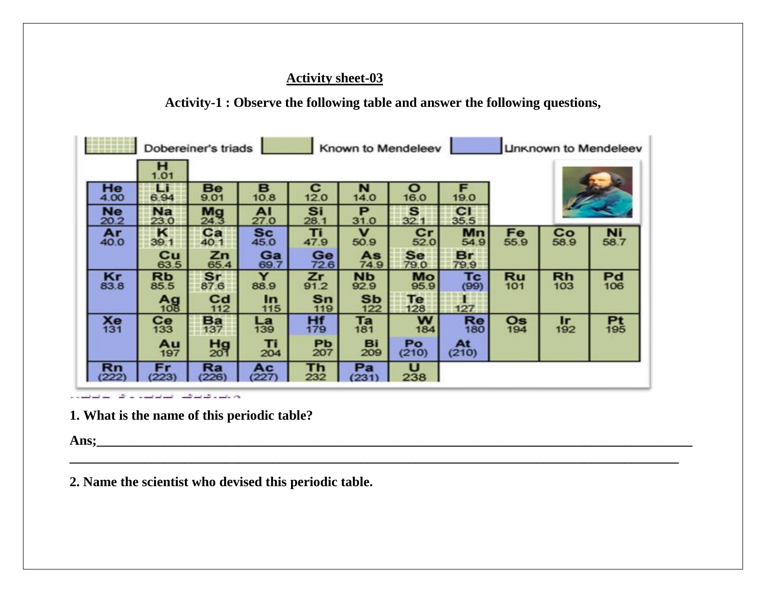**Activity-1 : Observe the following table and answer the following questions,**

| Dobereiner's triads<br>Known to Mendeleev<br><b>Linknown to Mendeleev</b> |                   |                    |                   |             |                              |             |             |            |                                |                   |
|---------------------------------------------------------------------------|-------------------|--------------------|-------------------|-------------|------------------------------|-------------|-------------|------------|--------------------------------|-------------------|
|                                                                           | н<br>1.01         |                    |                   |             |                              |             |             |            |                                |                   |
| He<br>4.00                                                                | Li<br>6.94        | Be<br>9.01         | B<br>10.8         | С<br>12.0   | N<br>14.0                    | о<br>16.0   | F<br>19.0   |            |                                |                   |
| <b>Ne</b><br>20.2                                                         | <b>Na</b><br>23.0 | Mg<br>24.3         | AI<br>27.0        | Si<br>28.1  | P<br>31.0                    | S<br>32.1   | C1<br>35.5  |            |                                |                   |
| Ar<br>40.0                                                                | ĸ<br>39.1         | Ca<br>40.1         | <b>Sc</b><br>45.0 | Ti<br>47.9  | v<br>50.9                    | $_{52.0}$   | Mn<br>54.9  | Fe<br>55.9 | C <sub>0</sub> <sub>58.9</sub> | <b>Ni</b><br>58.7 |
|                                                                           | Cu<br>63.5        | Zn<br>65.4         | Ga<br>69.7        | Ge<br>72.6  | As<br>74.9                   | Se<br>79.0  | Br<br>79.9  |            |                                |                   |
| Kr<br>83.8                                                                | Rb<br>85.5        | sr<br>87.6         | Y<br>88.9         | Zr<br>91.2  | <b>N<sub>b</sub></b><br>92.9 | Mo<br>95.9  | Tc<br>(99)  | Ru<br>101  | Rh<br>103                      | P <sub>106</sub>  |
|                                                                           | A <sub>98</sub>   | $_{\rm cd}$<br>112 | In<br>115         | $sn$<br>119 | <b>Sb</b><br>122             | Te<br>128   | 127         |            |                                |                   |
| Xe<br>131                                                                 | Ce<br>133         | Ba<br>137          | La<br>139         | Hf<br>179   | Ta<br>181                    | w<br>184    | Re<br>180   | Os<br>194  | $\mathbf{r}$<br>192            | $P_{195}$         |
|                                                                           | Au<br>197         | Hg<br>201          | Ti<br>204         | Pb<br>207   | Bi<br>209                    | Po<br>(210) | At<br>(210) |            |                                |                   |
| Rn<br>222                                                                 | Fr<br>223)        | Ra<br>(226)        | Ac<br>(227        | Th<br>232   | Pa<br>(231)                  | U<br>238    |             |            |                                |                   |

**\_\_\_\_\_\_\_\_\_\_\_\_\_\_\_\_\_\_\_\_\_\_\_\_\_\_\_\_\_\_\_\_\_\_\_\_\_\_\_\_\_\_\_\_\_\_\_\_\_\_\_\_\_\_\_\_\_\_\_\_\_\_\_\_\_\_\_\_\_\_\_\_\_\_\_\_\_\_\_\_\_\_\_\_\_\_\_\_\_\_**

والمتعاقبة فترقع فالمتمازل فالأعام وممالأ

**1. What is the name of this periodic table?**

**Ans;\_\_\_\_\_\_\_\_\_\_\_\_\_\_\_\_\_\_\_\_\_\_\_\_\_\_\_\_\_\_\_\_\_\_\_\_\_\_\_\_\_\_\_\_\_\_\_\_\_\_\_\_\_\_\_\_\_\_\_\_\_\_\_\_\_\_\_\_\_\_\_\_\_\_\_\_\_\_\_\_\_\_\_\_\_\_\_\_**

**2. Name the scientist who devised this periodic table.**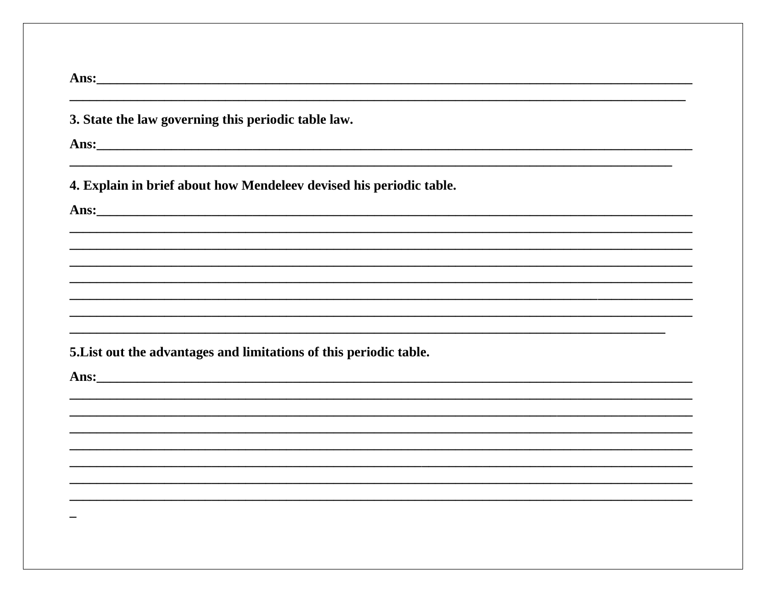| 3. State the law governing this periodic table law.                                                                                                                                                                                  |
|--------------------------------------------------------------------------------------------------------------------------------------------------------------------------------------------------------------------------------------|
|                                                                                                                                                                                                                                      |
| 4. Explain in brief about how Mendeleev devised his periodic table.                                                                                                                                                                  |
| Ans: <u>with the contract of the contract of the contract of the contract of the contract of the contract of the contract of the contract of the contract of the contract of the contract of the contract of the contract of the</u> |
|                                                                                                                                                                                                                                      |
|                                                                                                                                                                                                                                      |
|                                                                                                                                                                                                                                      |
| 5. List out the advantages and limitations of this periodic table.                                                                                                                                                                   |
|                                                                                                                                                                                                                                      |
|                                                                                                                                                                                                                                      |
|                                                                                                                                                                                                                                      |
|                                                                                                                                                                                                                                      |
|                                                                                                                                                                                                                                      |
|                                                                                                                                                                                                                                      |
|                                                                                                                                                                                                                                      |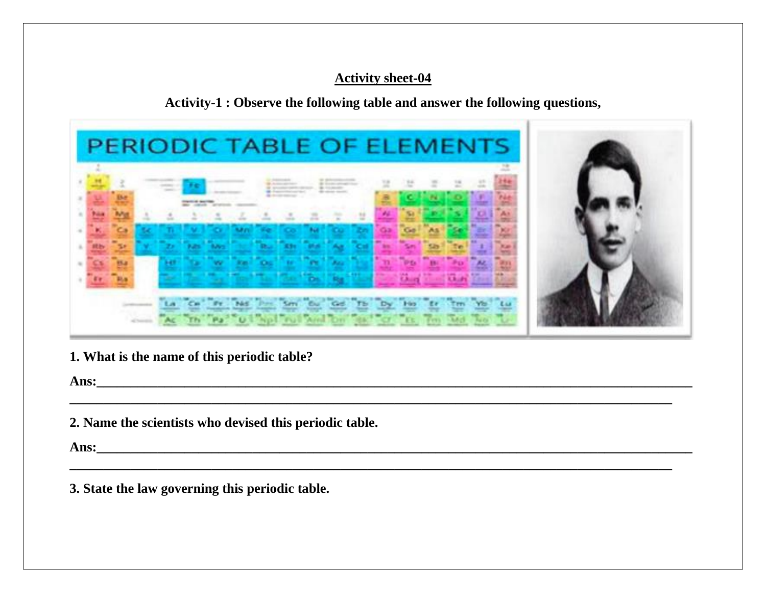**Activity-1 : Observe the following table and answer the following questions,**

| PERIODIC TABLE OF ELEMENTS |  |
|----------------------------|--|
|                            |  |
|                            |  |
|                            |  |
|                            |  |
|                            |  |

**\_\_\_\_\_\_\_\_\_\_\_\_\_\_\_\_\_\_\_\_\_\_\_\_\_\_\_\_\_\_\_\_\_\_\_\_\_\_\_\_\_\_\_\_\_\_\_\_\_\_\_\_\_\_\_\_\_\_\_\_\_\_\_\_\_\_\_\_\_\_\_\_\_\_\_\_\_\_\_\_\_\_\_\_\_\_\_\_\_**

**\_\_\_\_\_\_\_\_\_\_\_\_\_\_\_\_\_\_\_\_\_\_\_\_\_\_\_\_\_\_\_\_\_\_\_\_\_\_\_\_\_\_\_\_\_\_\_\_\_\_\_\_\_\_\_\_\_\_\_\_\_\_\_\_\_\_\_\_\_\_\_\_\_\_\_\_\_\_\_\_\_\_\_\_\_\_\_\_\_**

**1. What is the name of this periodic table?**

**Ans:\_\_\_\_\_\_\_\_\_\_\_\_\_\_\_\_\_\_\_\_\_\_\_\_\_\_\_\_\_\_\_\_\_\_\_\_\_\_\_\_\_\_\_\_\_\_\_\_\_\_\_\_\_\_\_\_\_\_\_\_\_\_\_\_\_\_\_\_\_\_\_\_\_\_\_\_\_\_\_\_\_\_\_\_\_\_\_\_**

**2. Name the scientists who devised this periodic table.**

**Ans:\_\_\_\_\_\_\_\_\_\_\_\_\_\_\_\_\_\_\_\_\_\_\_\_\_\_\_\_\_\_\_\_\_\_\_\_\_\_\_\_\_\_\_\_\_\_\_\_\_\_\_\_\_\_\_\_\_\_\_\_\_\_\_\_\_\_\_\_\_\_\_\_\_\_\_\_\_\_\_\_\_\_\_\_\_\_\_\_**

**3. State the law governing this periodic table.**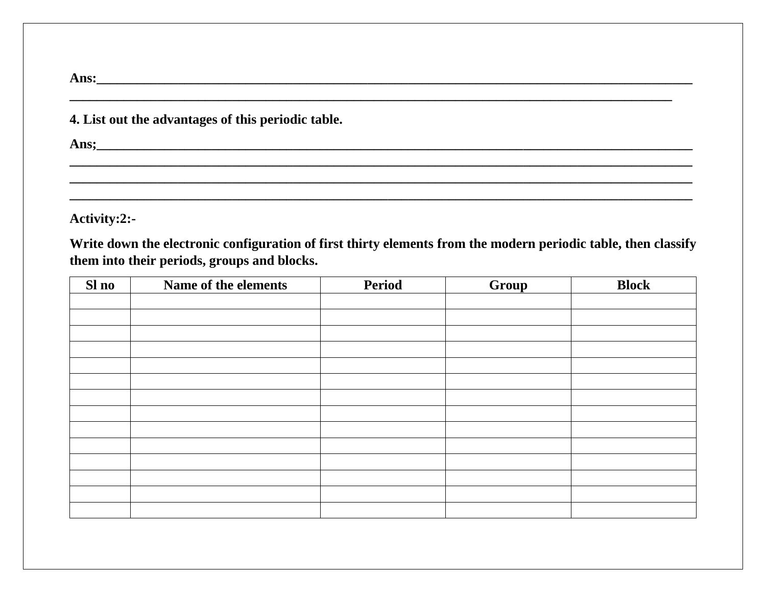| Ans:<br><u> 1999 - Johann Harry Harry Harry Harry Harry Harry Harry Harry Harry Harry Harry Harry Harry Harry Harry Harry</u> |  |
|-------------------------------------------------------------------------------------------------------------------------------|--|
| 4. List out the advantages of this periodic table.                                                                            |  |
| Ans:                                                                                                                          |  |
|                                                                                                                               |  |

Activity:2:-

Write down the electronic configuration of first thirty elements from the modern periodic table, then classify them into their periods, groups and blocks.

| Sl no | Name of the elements | <b>Period</b> | Group | <b>Block</b> |
|-------|----------------------|---------------|-------|--------------|
|       |                      |               |       |              |
|       |                      |               |       |              |
|       |                      |               |       |              |
|       |                      |               |       |              |
|       |                      |               |       |              |
|       |                      |               |       |              |
|       |                      |               |       |              |
|       |                      |               |       |              |
|       |                      |               |       |              |
|       |                      |               |       |              |
|       |                      |               |       |              |
|       |                      |               |       |              |
|       |                      |               |       |              |
|       |                      |               |       |              |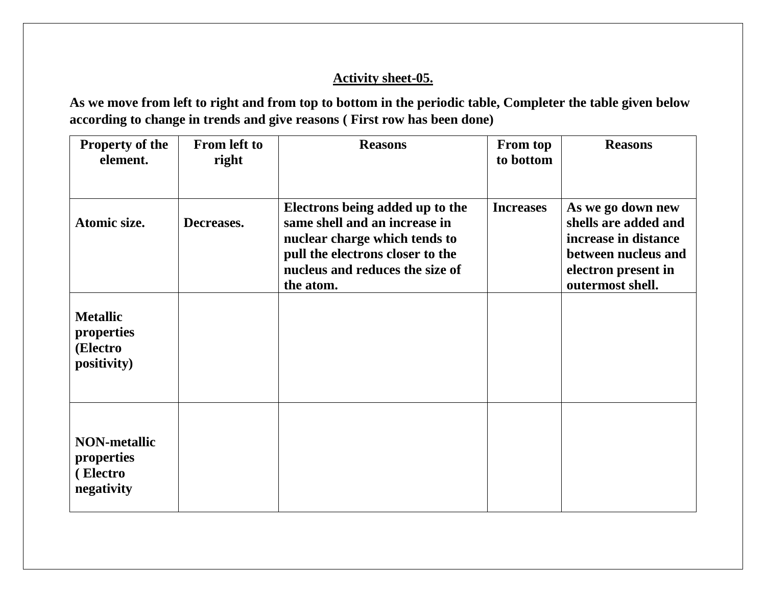**As we move from left to right and from top to bottom in the periodic table, Completer the table given below according to change in trends and give reasons ( First row has been done)**

| <b>Property of the</b>                                      | <b>From left to</b> | <b>Reasons</b>                                                                                                                                                                        | <b>From top</b>  | <b>Reasons</b>                                                                                                                      |
|-------------------------------------------------------------|---------------------|---------------------------------------------------------------------------------------------------------------------------------------------------------------------------------------|------------------|-------------------------------------------------------------------------------------------------------------------------------------|
| element.                                                    | right               |                                                                                                                                                                                       | to bottom        |                                                                                                                                     |
|                                                             |                     |                                                                                                                                                                                       |                  |                                                                                                                                     |
| Atomic size.                                                | Decreases.          | Electrons being added up to the<br>same shell and an increase in<br>nuclear charge which tends to<br>pull the electrons closer to the<br>nucleus and reduces the size of<br>the atom. | <b>Increases</b> | As we go down new<br>shells are added and<br>increase in distance<br>between nucleus and<br>electron present in<br>outermost shell. |
| <b>Metallic</b><br>properties<br>(Electro<br>positivity)    |                     |                                                                                                                                                                                       |                  |                                                                                                                                     |
| <b>NON-metallic</b><br>properties<br>(Electro<br>negativity |                     |                                                                                                                                                                                       |                  |                                                                                                                                     |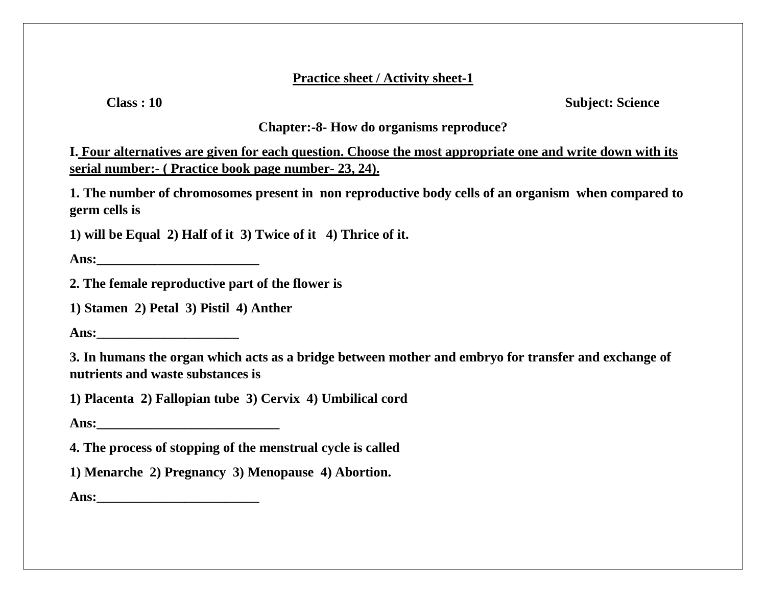### **Practice sheet / Activity sheet-1**

**Class : 10 Subject: Science**

## **Chapter:-8- How do organisms reproduce?**

**I. Four alternatives are given for each question. Choose the most appropriate one and write down with its serial number:- ( Practice book page number- 23, 24).**

**1. The number of chromosomes present in non reproductive body cells of an organism when compared to germ cells is**

**1) will be Equal 2) Half of it 3) Twice of it 4) Thrice of it.**

**Ans:\_\_\_\_\_\_\_\_\_\_\_\_\_\_\_\_\_\_\_\_\_\_\_\_**

**2. The female reproductive part of the flower is**

**1) Stamen 2) Petal 3) Pistil 4) Anther**

**Ans:** 

**3. In humans the organ which acts as a bridge between mother and embryo for transfer and exchange of nutrients and waste substances is**

**1) Placenta 2) Fallopian tube 3) Cervix 4) Umbilical cord**

Ans:

**4. The process of stopping of the menstrual cycle is called**

**1) Menarche 2) Pregnancy 3) Menopause 4) Abortion.**

**Ans:\_\_\_\_\_\_\_\_\_\_\_\_\_\_\_\_\_\_\_\_\_\_\_\_**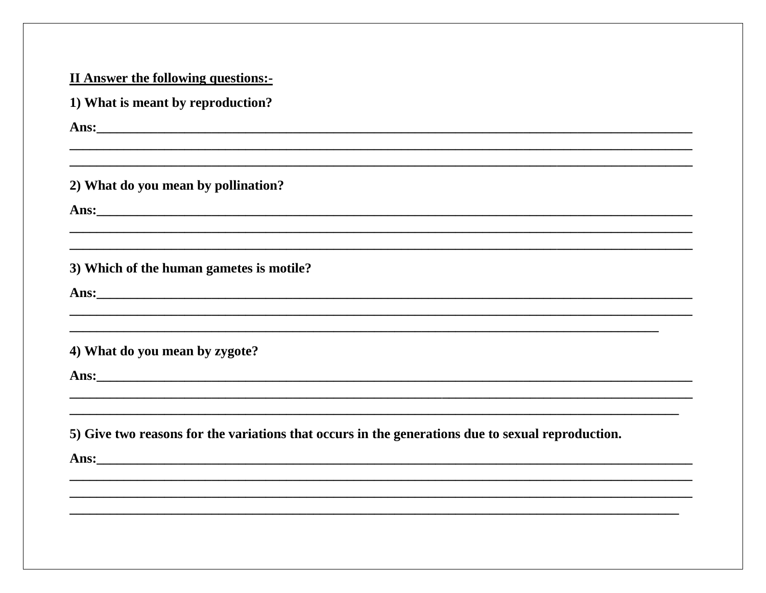| 1) What is meant by reproduction? |                                                                                                                                                                                                                                      |
|-----------------------------------|--------------------------------------------------------------------------------------------------------------------------------------------------------------------------------------------------------------------------------------|
|                                   | Ans: No. 2016. The contract of the contract of the contract of the contract of the contract of the contract of the contract of the contract of the contract of the contract of the contract of the contract of the contract of       |
|                                   | <u> 1999 - Johann Stoff, deutscher Stoff, der Stoff, der Stoff, der Stoff, der Stoff, der Stoff, der Stoff, der S</u><br>2) What do you mean by pollination?                                                                         |
|                                   |                                                                                                                                                                                                                                      |
|                                   |                                                                                                                                                                                                                                      |
|                                   | 3) Which of the human gametes is motile?                                                                                                                                                                                             |
|                                   | Ans: <u>with the contract of the contract of the contract of the contract of the contract of the contract of the contract of the contract of the contract of the contract of the contract of the contract of the contract of the</u> |
| 4) What do you mean by zygote?    | ,我们也不能会在这里,我们也不能会在这里,我们也不能会在这里,我们也不能会在这里,我们也不能会在这里,我们也不能会在这里,我们也不能会不能会不能会。""我们,我                                                                                                                                                     |
|                                   | Ans: <u>with the contract of the contract of the contract of the contract of the contract of the contract of the contract of the contract of the contract of the contract of the contract of the contract of the contract of the</u> |
|                                   | 5) Give two reasons for the variations that occurs in the generations due to sexual reproduction.                                                                                                                                    |
|                                   | Ans: <u>and the contract of the contract of the contract of the contract of the contract of the contract of the contract of the contract of the contract of the contract of the contract of the contract of the contract of the </u> |
|                                   |                                                                                                                                                                                                                                      |
|                                   |                                                                                                                                                                                                                                      |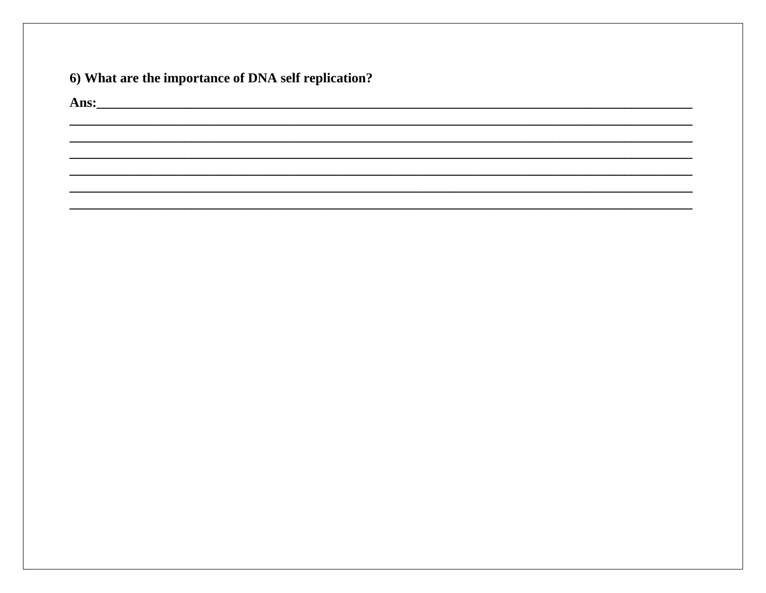# 6) What are the importance of DNA self replication?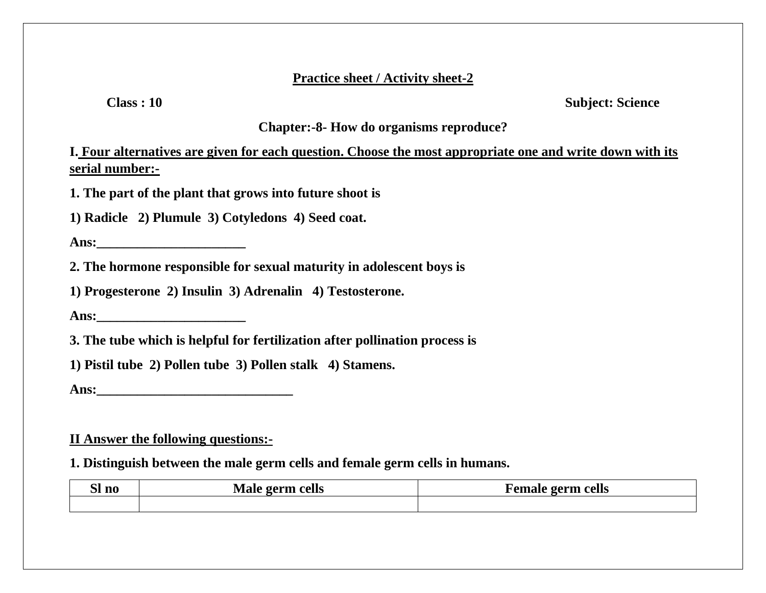#### **Practice sheet / Activity sheet-2**

**Class : 10** Subject: Science

### **Chapter:-8- How do organisms reproduce?**

**I. Four alternatives are given for each question. Choose the most appropriate one and write down with its serial number:-**

**1. The part of the plant that grows into future shoot is**

**1) Radicle 2) Plumule 3) Cotyledons 4) Seed coat.**

**Ans:** 

**2. The hormone responsible for sexual maturity in adolescent boys is**

**1) Progesterone 2) Insulin 3) Adrenalin 4) Testosterone.**

**Ans:\_\_\_\_\_\_\_\_\_\_\_\_\_\_\_\_\_\_\_\_\_\_**

**3. The tube which is helpful for fertilization after pollination process is** 

**1) Pistil tube 2) Pollen tube 3) Pollen stalk 4) Stamens.**

**Ans:** 

### **II Answer the following questions:-**

**1. Distinguish between the male germ cells and female germ cells in humans.**

| $\sim$<br>SI no | 1 / A<br>cells<br>$\sim$ $\sim$ $\sim$ $\sim$ $\sim$ | $\sim$ $\sim$ $\sim$ $\sim$<br>cells<br>0.01111222 |  |
|-----------------|------------------------------------------------------|----------------------------------------------------|--|
|                 |                                                      |                                                    |  |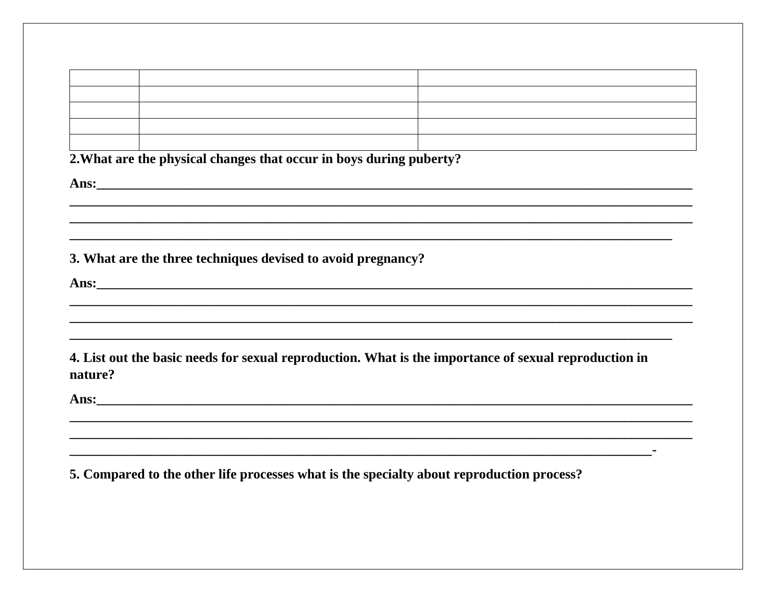2. What are the physical changes that occur in boys during puberty?

3. What are the three techniques devised to avoid pregnancy?

Ans: <u>2008 - 2008 - 2008 - 2008 - 2008 - 2008 - 2008 - 2008 - 2008 - 2008 - 2008 - 2008 - 2008 - 2008 - 2008 - 2008 - 2008 - 2008 - 2008 - 2008 - 2008 - 2008 - 2008 - 2008 - 2008 - 2008 - 2008 - 2008 - 2008 - 2008 - 2008 -</u>

4. List out the basic needs for sexual reproduction. What is the importance of sexual reproduction in nature?

Ans:

5. Compared to the other life processes what is the specialty about reproduction process?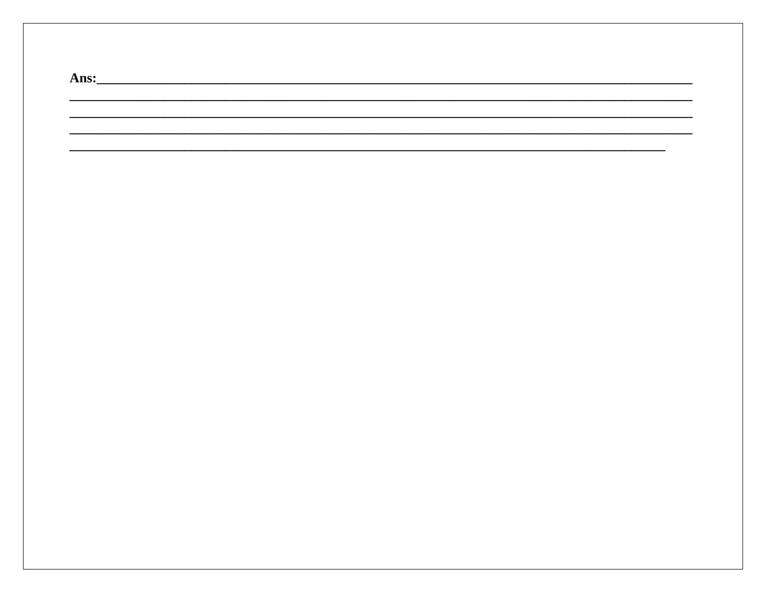| Ans: |  |  |  |
|------|--|--|--|
|      |  |  |  |
|      |  |  |  |
|      |  |  |  |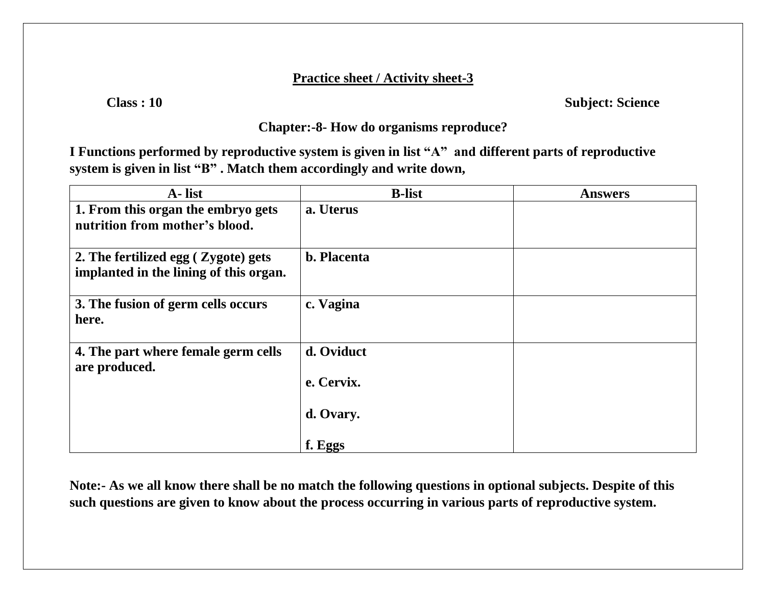### **Practice sheet / Activity sheet-3**

**Class : 10 Subject: Science**

## **Chapter:-8- How do organisms reproduce?**

**I Functions performed by reproductive system is given in list "A" and different parts of reproductive system is given in list "B" . Match them accordingly and write down,**

| A-list                                                                        | <b>B</b> -list       | <b>Answers</b> |
|-------------------------------------------------------------------------------|----------------------|----------------|
| 1. From this organ the embryo gets<br>nutrition from mother's blood.          | a. Uterus            |                |
| 2. The fertilized egg (Zygote) gets<br>implanted in the lining of this organ. | <b>b.</b> Placenta   |                |
| 3. The fusion of germ cells occurs<br>here.                                   | c. Vagina            |                |
| 4. The part where female germ cells<br>are produced.                          | d. Oviduct           |                |
|                                                                               | e. Cervix.           |                |
|                                                                               | d. Ovary.<br>f. Eggs |                |
|                                                                               |                      |                |

**Note:- As we all know there shall be no match the following questions in optional subjects. Despite of this such questions are given to know about the process occurring in various parts of reproductive system.**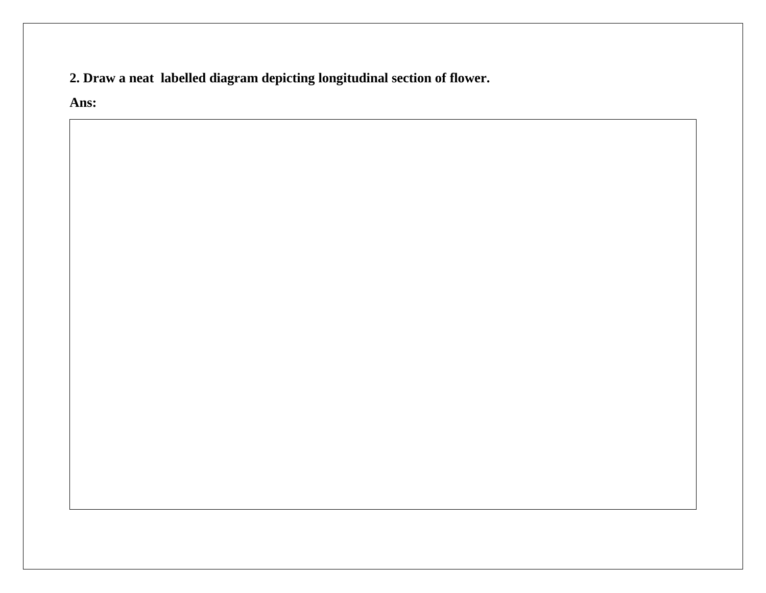**2. Draw a neat labelled diagram depicting longitudinal section of flower.**

**Ans:**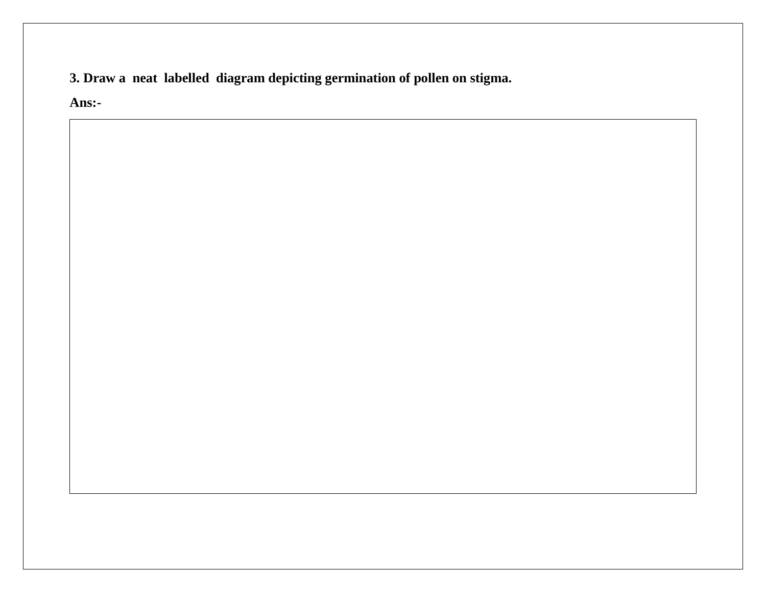3. Draw a neat labelled diagram depicting germination of pollen on stigma.

Ans:-